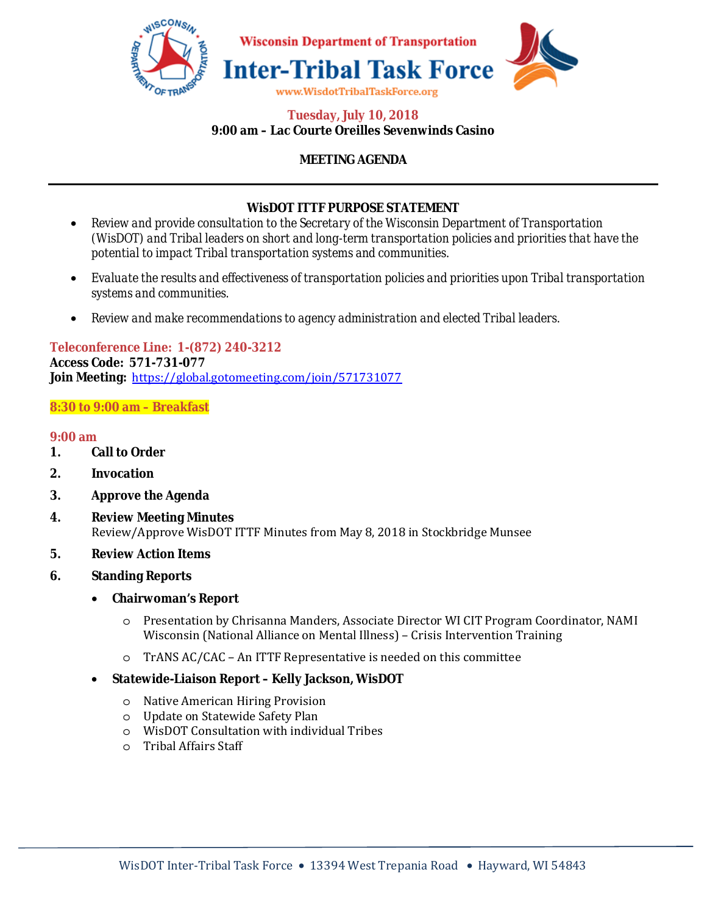

## **Tuesday, July 10, 2018 9:00 am – Lac Courte Oreilles Sevenwinds Casino**

# **MEETING AGENDA**

## **WisDOT ITTF PURPOSE STATEMENT**

- *Review and provide consultation to the Secretary of the Wisconsin Department of Transportation (WisDOT) and Tribal leaders on short and long-term transportation policies and priorities that have the potential to impact Tribal transportation systems and communities.*
- *Evaluate the results and effectiveness of transportation policies and priorities upon Tribal transportation systems and communities.*
- *Review and make recommendations to agency administration and elected Tribal leaders.*

**Teleconference Line: 1-(872) 240-3212 Access Code: 571-731-077 Join Meeting:** https://global.gotomeeting.com/join/571731077

## **8:30 to 9:00 am – Breakfast**

#### **9:00 am**

- **1. Call to Order**
- **2. Invocation**
- **3. Approve the Agenda**
- **4. Review Meeting Minutes**  Review/Approve WisDOT ITTF Minutes from May 8, 2018 in Stockbridge Munsee
- **5. Review Action Items**
- **6. Standing Reports** 
	- **Chairwoman's Report**
		- o Presentation by Chrisanna Manders, Associate Director WI CIT Program Coordinator, NAMI Wisconsin (National Alliance on Mental Illness) – Crisis Intervention Training
		- o TrANS AC/CAC An ITTF Representative is needed on this committee

#### • **Statewide-Liaison Report – Kelly Jackson, WisDOT**

- o Native American Hiring Provision
- o Update on Statewide Safety Plan
- o WisDOT Consultation with individual Tribes
- o Tribal Affairs Staff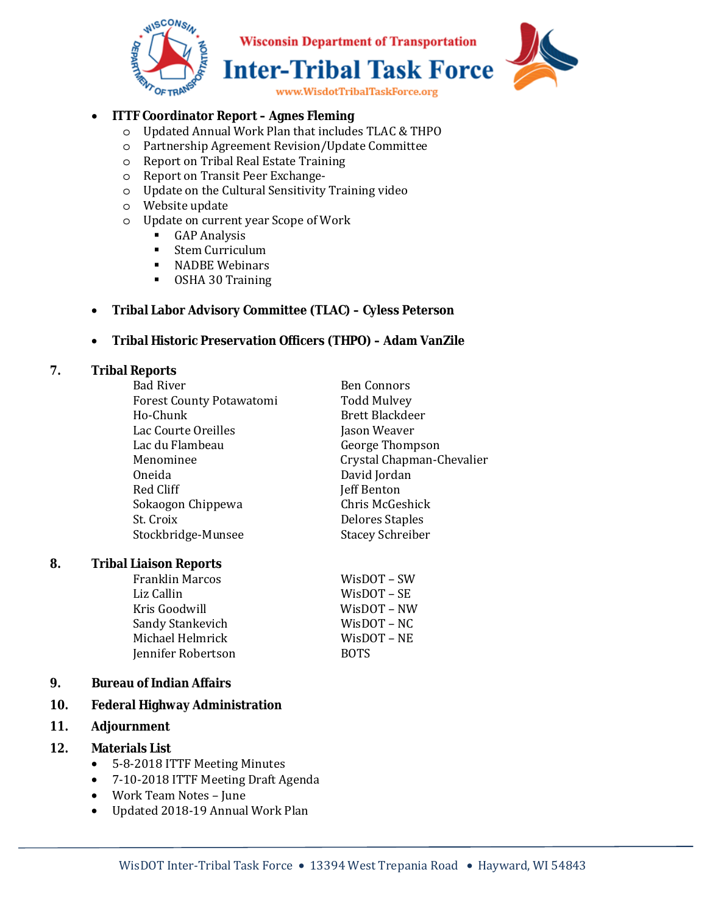

**Wisconsin Department of Transportation Inter-Tribal Task Force** 

www.WisdotTribalTaskForce.org

## • **ITTF Coordinator Report – Agnes Fleming**

- o Updated Annual Work Plan that includes TLAC & THPO
- o Partnership Agreement Revision/Update Committee
- o Report on Tribal Real Estate Training
- o Report on Transit Peer Exchange-
- o Update on the Cultural Sensitivity Training video
- o Website update
- o Update on current year Scope of Work
	- **GAP Analysis**
	- **Stem Curriculum**
	- **NADBE Webinars**
	- OSHA 30 Training

## • **Tribal Labor Advisory Committee (TLAC) – Cyless Peterson**

#### • **Tribal Historic Preservation Officers (THPO) – Adam VanZile**

#### **7. Tribal Reports**

| <b>Bad River</b>                | <b>Ben Connors</b>        |
|---------------------------------|---------------------------|
| <b>Forest County Potawatomi</b> | <b>Todd Mulvey</b>        |
| Ho-Chunk                        | <b>Brett Blackdeer</b>    |
| Lac Courte Oreilles             | Jason Weaver              |
| Lac du Flambeau                 | George Thompson           |
| Menominee                       | Crystal Chapman-Chevalier |
| Oneida                          | David Jordan              |
| Red Cliff                       | <b>Jeff Benton</b>        |
| Sokaogon Chippewa               | Chris McGeshick           |
| St. Croix                       | <b>Delores Staples</b>    |
| Stockbridge-Munsee              | <b>Stacey Schreiber</b>   |
|                                 |                           |

#### **8. Tribal Liaison Reports**

| <b>Franklin Marcos</b> | WisDOT – SW |
|------------------------|-------------|
| Liz Callin             | WisDOT – SE |
| Kris Goodwill          | WisDOT – NW |
| Sandy Stankevich       | WisDOT – NC |
| Michael Helmrick       | WisDOT – NE |
| Jennifer Robertson     | <b>BOTS</b> |
|                        |             |

#### **9. Bureau of Indian Affairs**

## **10. Federal Highway Administration**

#### **11. Adjournment**

#### **12. Materials List**

- 5-8-2018 ITTF Meeting Minutes
- 7-10-2018 ITTF Meeting Draft Agenda
- Work Team Notes June
- Updated 2018-19 Annual Work Plan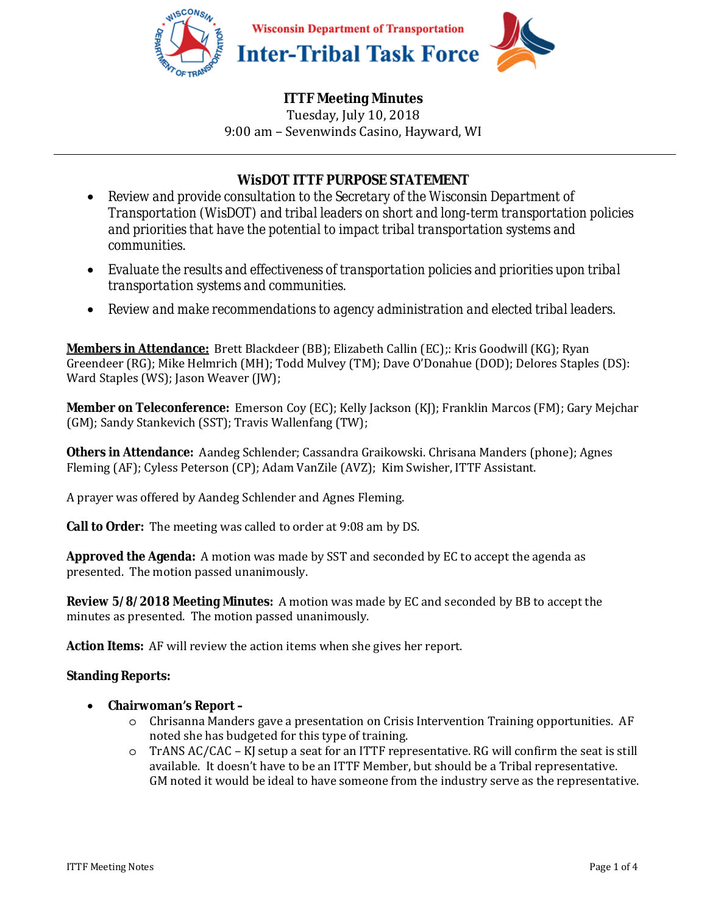

Tuesday, July 10, 2018 9:00 am – Sevenwinds Casino, Hayward, WI

# **WisDOT ITTF PURPOSE STATEMENT**

- *Review and provide consultation to the Secretary of the Wisconsin Department of Transportation (WisDOT) and tribal leaders on short and long-term transportation policies and priorities that have the potential to impact tribal transportation systems and communities.*
- *Evaluate the results and effectiveness of transportation policies and priorities upon tribal transportation systems and communities.*
- *Review and make recommendations to agency administration and elected tribal leaders.*

**Members in Attendance:** Brett Blackdeer (BB); Elizabeth Callin (EC);: Kris Goodwill (KG); Ryan Greendeer (RG); Mike Helmrich (MH); Todd Mulvey (TM); Dave O'Donahue (DOD); Delores Staples (DS): Ward Staples (WS); Jason Weaver (JW);

**Member on Teleconference:** Emerson Coy (EC); Kelly Jackson (KJ); Franklin Marcos (FM); Gary Mejchar (GM); Sandy Stankevich (SST); Travis Wallenfang (TW);

**Others in Attendance:** Aandeg Schlender; Cassandra Graikowski. Chrisana Manders (phone); Agnes Fleming (AF); Cyless Peterson (CP); Adam VanZile (AVZ); Kim Swisher, ITTF Assistant.

A prayer was offered by Aandeg Schlender and Agnes Fleming.

**Call to Order:** The meeting was called to order at 9:08 am by DS.

**Approved the Agenda:** A motion was made by SST and seconded by EC to accept the agenda as presented. The motion passed unanimously.

**Review 5/8/2018 Meeting Minutes:** A motion was made by EC and seconded by BB to accept the minutes as presented. The motion passed unanimously.

**Action Items:** AF will review the action items when she gives her report.

## **Standing Reports:**

- **Chairwoman's Report** 
	- o Chrisanna Manders gave a presentation on Crisis Intervention Training opportunities. AF noted she has budgeted for this type of training.
	- o TrANS AC/CAC KJ setup a seat for an ITTF representative. RG will confirm the seat is still available. It doesn't have to be an ITTF Member, but should be a Tribal representative. GM noted it would be ideal to have someone from the industry serve as the representative.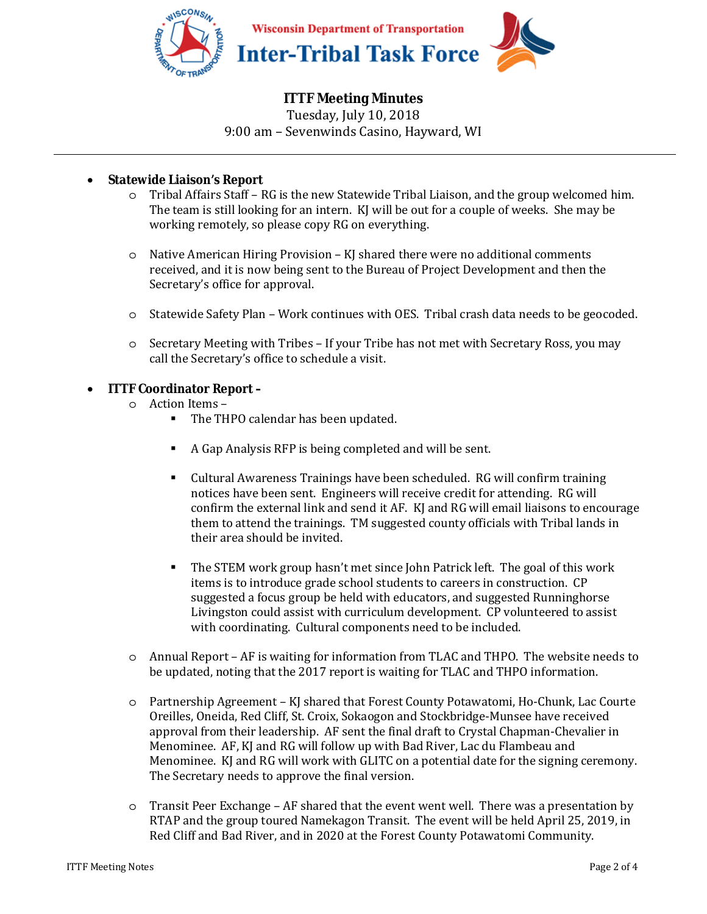

Tuesday, July 10, 2018 9:00 am – Sevenwinds Casino, Hayward, WI

## • **Statewide Liaison's Report**

- o Tribal Affairs Staff RG is the new Statewide Tribal Liaison, and the group welcomed him. The team is still looking for an intern. KJ will be out for a couple of weeks. She may be working remotely, so please copy RG on everything.
- $\circ$  Native American Hiring Provision KJ shared there were no additional comments received, and it is now being sent to the Bureau of Project Development and then the Secretary's office for approval.
- o Statewide Safety Plan Work continues with OES. Tribal crash data needs to be geocoded.
- o Secretary Meeting with Tribes If your Tribe has not met with Secretary Ross, you may call the Secretary's office to schedule a visit.

## • **ITTF Coordinator Report –**

- o Action Items
	- The THPO calendar has been updated.
	- A Gap Analysis RFP is being completed and will be sent.
	- Cultural Awareness Trainings have been scheduled. RG will confirm training notices have been sent. Engineers will receive credit for attending. RG will confirm the external link and send it AF. KJ and RG will email liaisons to encourage them to attend the trainings. TM suggested county officials with Tribal lands in their area should be invited.
	- The STEM work group hasn't met since John Patrick left. The goal of this work items is to introduce grade school students to careers in construction. CP suggested a focus group be held with educators, and suggested Runninghorse Livingston could assist with curriculum development. CP volunteered to assist with coordinating. Cultural components need to be included.
- o Annual Report AF is waiting for information from TLAC and THPO. The website needs to be updated, noting that the 2017 report is waiting for TLAC and THPO information.
- o Partnership Agreement KJ shared that Forest County Potawatomi, Ho-Chunk, Lac Courte Oreilles, Oneida, Red Cliff, St. Croix, Sokaogon and Stockbridge-Munsee have received approval from their leadership. AF sent the final draft to Crystal Chapman-Chevalier in Menominee. AF, KJ and RG will follow up with Bad River, Lac du Flambeau and Menominee. KJ and RG will work with GLITC on a potential date for the signing ceremony. The Secretary needs to approve the final version.
- o Transit Peer Exchange AF shared that the event went well. There was a presentation by RTAP and the group toured Namekagon Transit. The event will be held April 25, 2019, in Red Cliff and Bad River, and in 2020 at the Forest County Potawatomi Community.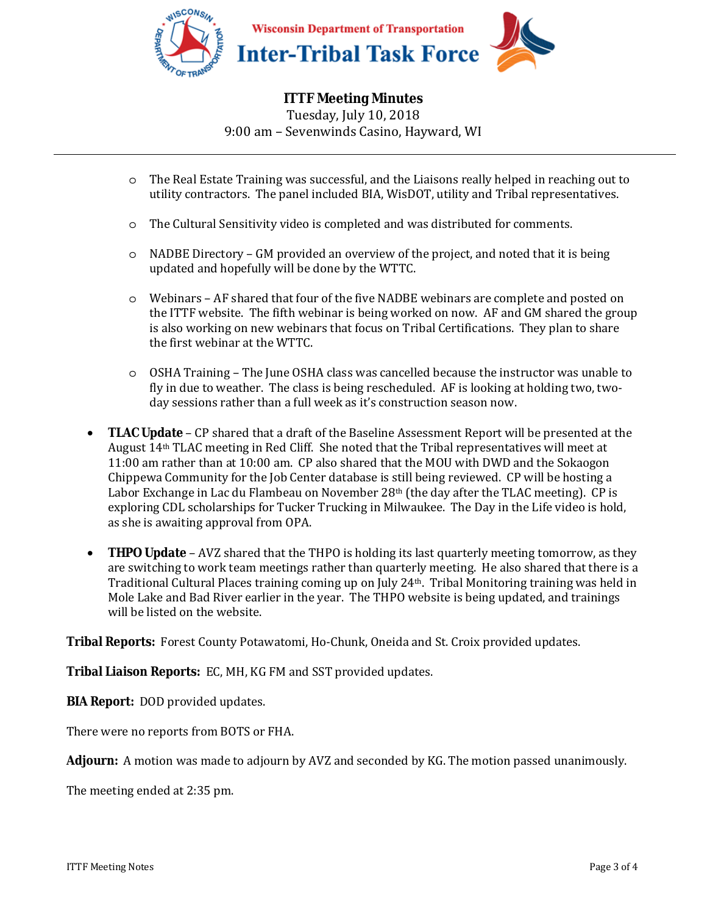

Tuesday, July 10, 2018 9:00 am – Sevenwinds Casino, Hayward, WI

- o The Real Estate Training was successful, and the Liaisons really helped in reaching out to utility contractors. The panel included BIA, WisDOT, utility and Tribal representatives.
- o The Cultural Sensitivity video is completed and was distributed for comments.
- o NADBE Directory GM provided an overview of the project, and noted that it is being updated and hopefully will be done by the WTTC.
- o Webinars AF shared that four of the five NADBE webinars are complete and posted on the ITTF website. The fifth webinar is being worked on now. AF and GM shared the group is also working on new webinars that focus on Tribal Certifications. They plan to share the first webinar at the WTTC.
- o OSHA Training The June OSHA class was cancelled because the instructor was unable to fly in due to weather. The class is being rescheduled. AF is looking at holding two, twoday sessions rather than a full week as it's construction season now.
- **TLAC Update** CP shared that a draft of the Baseline Assessment Report will be presented at the August 14th TLAC meeting in Red Cliff. She noted that the Tribal representatives will meet at 11:00 am rather than at 10:00 am. CP also shared that the MOU with DWD and the Sokaogon Chippewa Community for the Job Center database is still being reviewed. CP will be hosting a Labor Exchange in Lac du Flambeau on November 28th (the day after the TLAC meeting). CP is exploring CDL scholarships for Tucker Trucking in Milwaukee. The Day in the Life video is hold, as she is awaiting approval from OPA.
- **THPO Update** AVZ shared that the THPO is holding its last quarterly meeting tomorrow, as they are switching to work team meetings rather than quarterly meeting. He also shared that there is a Traditional Cultural Places training coming up on July 24<sup>th</sup>. Tribal Monitoring training was held in Mole Lake and Bad River earlier in the year. The THPO website is being updated, and trainings will be listed on the website.

**Tribal Reports:** Forest County Potawatomi, Ho-Chunk, Oneida and St. Croix provided updates.

**Tribal Liaison Reports:** EC, MH, KG FM and SST provided updates.

**BIA Report:** DOD provided updates.

There were no reports from BOTS or FHA.

**Adjourn:** A motion was made to adjourn by AVZ and seconded by KG. The motion passed unanimously.

The meeting ended at 2:35 pm.